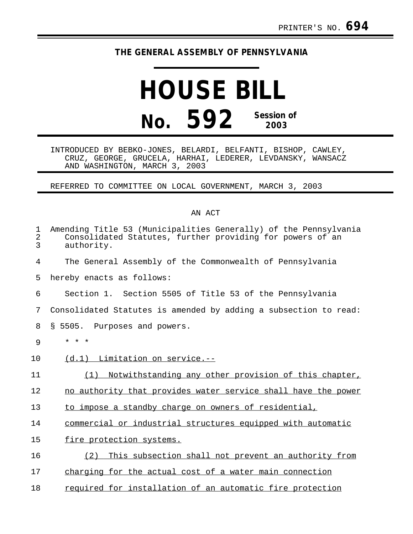## **THE GENERAL ASSEMBLY OF PENNSYLVANIA**

## **HOUSE BILL No. 592 Session of 2003**

INTRODUCED BY BEBKO-JONES, BELARDI, BELFANTI, BISHOP, CAWLEY, CRUZ, GEORGE, GRUCELA, HARHAI, LEDERER, LEVDANSKY, WANSACZ AND WASHINGTON, MARCH 3, 2003

REFERRED TO COMMITTEE ON LOCAL GOVERNMENT, MARCH 3, 2003

## AN ACT

| 1<br>$\overline{2}$<br>3 | Amending Title 53 (Municipalities Generally) of the Pennsylvania<br>Consolidated Statutes, further providing for powers of an<br>authority. |
|--------------------------|---------------------------------------------------------------------------------------------------------------------------------------------|
| 4                        | The General Assembly of the Commonwealth of Pennsylvania                                                                                    |
| 5                        | hereby enacts as follows:                                                                                                                   |
| 6                        | Section 1. Section 5505 of Title 53 of the Pennsylvania                                                                                     |
| 7                        | Consolidated Statutes is amended by adding a subsection to read:                                                                            |
| 8                        | \$5505.<br>Purposes and powers.                                                                                                             |
| 9                        | $* * *$                                                                                                                                     |
| 10                       | $(d.1)$ Limitation on service.--                                                                                                            |
| 11                       | Notwithstanding any other provision of this chapter,<br>(1)                                                                                 |
| 12                       | no authority that provides water service shall have the power                                                                               |
| 13                       | to impose a standby charge on owners of residential,                                                                                        |
| 14                       | commercial or industrial structures equipped with automatic                                                                                 |
| 15                       | fire protection systems.                                                                                                                    |
| 16                       | (2)<br>This subsection shall not prevent an authority from                                                                                  |
| 17                       | charging for the actual cost of a water main connection                                                                                     |
| 18                       | required for installation of an automatic fire protection                                                                                   |